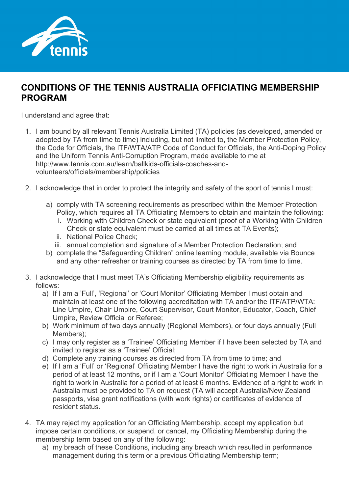

## **CONDITIONS OF THE TENNIS AUSTRALIA OFFICIATING MEMBERSHIP PROGRAM**

I understand and agree that:

- 1. I am bound by all relevant Tennis Australia Limited (TA) policies (as developed, amended or adopted by TA from time to time) including, but not limited to, the Member Protection Policy, the Code for Officials, the ITF/WTA/ATP Code of Conduct for Officials, the Anti-Doping Policy and the Uniform Tennis Anti-Corruption Program, made available to me at [http://www.tennis.com.au/learn/ballkids-officials-coaches-and](http://www.tennis.com.au/learn/ballkids-officials-coaches-and-volunteers/officials/membership/policies)[volunteers/officials/membership/policies](http://www.tennis.com.au/learn/ballkids-officials-coaches-and-volunteers/officials/membership/policies)
- 2. I acknowledge that in order to protect the integrity and safety of the sport of tennis I must:
	- a) comply with TA screening requirements as prescribed within the Member Protection Policy, which requires all TA Officiating Members to obtain and maintain the following:
		- i. Working with Children Check or state equivalent (proof of a Working With Children Check or state equivalent must be carried at all times at TA Events);
		- ii. National Police Check;
		- iii. annual completion and signature of a Member Protection Declaration; and
	- b) complete the "Safeguarding Children" online learning module, available via Bounce and any other refresher or training courses as directed by TA from time to time.
- 3. I acknowledge that I must meet TA's Officiating Membership eligibility requirements as follows:
	- a) If I am a 'Full', 'Regional' or 'Court Monitor' Officiating Member I must obtain and maintain at least one of the following accreditation with TA and/or the ITF/ATP/WTA: Line Umpire, Chair Umpire, Court Supervisor, Court Monitor, Educator, Coach, Chief Umpire, Review Official or Referee;
	- b) Work minimum of two days annually (Regional Members), or four days annually (Full Members);
	- c) I may only register as a 'Trainee' Officiating Member if I have been selected by TA and invited to register as a 'Trainee' Official;
	- d) Complete any training courses as directed from TA from time to time; and
	- e) If I am a 'Full' or 'Regional' Officiating Member I have the right to work in Australia for a period of at least 12 months, or if I am a 'Court Monitor' Officiating Member I have the right to work in Australia for a period of at least 6 months. Evidence of a right to work in Australia must be provided to TA on request (TA will accept Australia/New Zealand passports, visa grant notifications (with work rights) or certificates of evidence of resident status.
- 4. TA may reject my application for an Officiating Membership, accept my application but impose certain conditions, or suspend, or cancel, my Officiating Membership during the membership term based on any of the following:
	- a) my breach of these Conditions, including any breach which resulted in performance management during this term or a previous Officiating Membership term;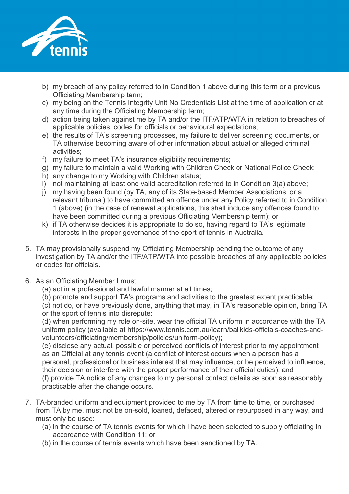

- b) my breach of any policy referred to in Condition 1 above during this term or a previous Officiating Membership term;
- c) my being on the Tennis Integrity Unit No Credentials List at the time of application or at any time during the Officiating Membership term;
- d) action being taken against me by TA and/or the ITF/ATP/WTA in relation to breaches of applicable policies, codes for officials or behavioural expectations;
- e) the results of TA's screening processes, my failure to deliver screening documents, or TA otherwise becoming aware of other information about actual or alleged criminal activities;
- f) my failure to meet TA's insurance eligibility requirements;
- g) my failure to maintain a valid Working with Children Check or National Police Check;
- h) any change to my Working with Children status;
- i) not maintaining at least one valid accreditation referred to in Condition 3(a) above;
- j) my having been found (by TA, any of its State-based Member Associations, or a relevant tribunal) to have committed an offence under any Policy referred to in Condition 1 (above) (in the case of renewal applications, this shall include any offences found to have been committed during a previous Officiating Membership term); or
- k) if TA otherwise decides it is appropriate to do so, having regard to TA's legitimate interests in the proper governance of the sport of tennis in Australia.
- 5. TA may provisionally suspend my Officiating Membership pending the outcome of any investigation by TA and/or the ITF/ATP/WTA into possible breaches of any applicable policies or codes for officials.
- 6. As an Officiating Member I must:
	- (a) act in a professional and lawful manner at all times;
	- (b) promote and support TA's programs and activities to the greatest extent practicable;

(c) not do, or have previously done, anything that may, in TA's reasonable opinion, bring TA or the sport of tennis into disrepute;

(d) when performing my role on-site, wear the official TA uniform in accordance with the TA uniform policy (available at [https://www.tennis.com.au/learn/ballkids-officials-coaches-and](https://www.tennis.com.au/learn/ballkids-officials-coaches-and-volunteers/officiating/membership/policies/uniform-policy)[volunteers/officiating/membership/policies/uniform-policy\)](https://www.tennis.com.au/learn/ballkids-officials-coaches-and-volunteers/officiating/membership/policies/uniform-policy);

(e) disclose any actual, possible or perceived conflicts of interest prior to my appointment as an Official at any tennis event (a conflict of interest occurs when a person has a personal, professional or business interest that may influence, or be perceived to influence, their decision or interfere with the proper performance of their official duties); and (f) provide TA notice of any changes to my personal contact details as soon as reasonably

practicable after the change occurs.

- 7. TA-branded uniform and equipment provided to me by TA from time to time, or purchased from TA by me, must not be on-sold, loaned, defaced, altered or repurposed in any way, and must only be used:
	- (a) in the course of TA tennis events for which I have been selected to supply officiating in accordance with Condition 11; or
	- (b) in the course of tennis events which have been sanctioned by TA.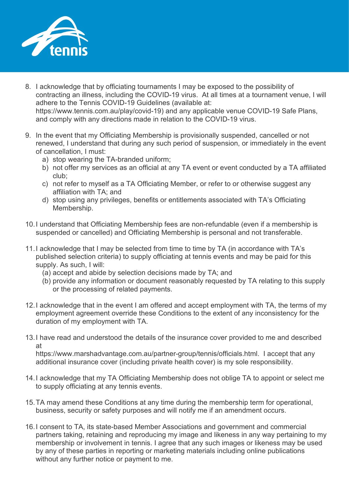

- 8. I acknowledge that by officiating tournaments I may be exposed to the possibility of contracting an illness, including the COVID-19 virus. At all times at a tournament venue, I will adhere to the Tennis COVID-19 Guidelines (available at: [https://www.tennis.com.au/play/covid-19\)](https://www.tennis.com.au/play/covid-19) and any applicable venue COVID-19 Safe Plans, and comply with any directions made in relation to the COVID-19 virus.
- 9. In the event that my Officiating Membership is provisionally suspended, cancelled or not renewed, I understand that during any such period of suspension, or immediately in the event of cancellation, I must:
	- a) stop wearing the TA-branded uniform;
	- b) not offer my services as an official at any TA event or event conducted by a TA affiliated club;
	- c) not refer to myself as a TA Officiating Member, or refer to or otherwise suggest any affiliation with TA; and
	- d) stop using any privileges, benefits or entitlements associated with TA's Officiating Membership.
- 10.I understand that Officiating Membership fees are non-refundable (even if a membership is suspended or cancelled) and Officiating Membership is personal and not transferable.
- 11.I acknowledge that I may be selected from time to time by TA (in accordance with TA's published selection criteria) to supply officiating at tennis events and may be paid for this supply. As such, I will:
	- (a) accept and abide by selection decisions made by TA; and
	- (b) provide any information or document reasonably requested by TA relating to this supply or the processing of related payments.
- 12.I acknowledge that in the event I am offered and accept employment with TA, the terms of my employment agreement override these Conditions to the extent of any inconsistency for the duration of my employment with TA.
- 13.I have read and understood the details of the insurance cover provided to me and described at

[https://www.marshadvantage.com.au/partner-group/tennis/officials.html.](https://www.marshadvantage.com.au/partner-group/tennis/officials.html) I accept that any additional insurance cover (including private health cover) is my sole responsibility.

- 14.I acknowledge that my TA Officiating Membership does not oblige TA to appoint or select me to supply officiating at any tennis events.
- 15.TA may amend these Conditions at any time during the membership term for operational, business, security or safety purposes and will notify me if an amendment occurs.
- 16.I consent to TA, its state-based Member Associations and government and commercial partners taking, retaining and reproducing my image and likeness in any way pertaining to my membership or involvement in tennis. I agree that any such images or likeness may be used by any of these parties in reporting or marketing materials including online publications without any further notice or payment to me.